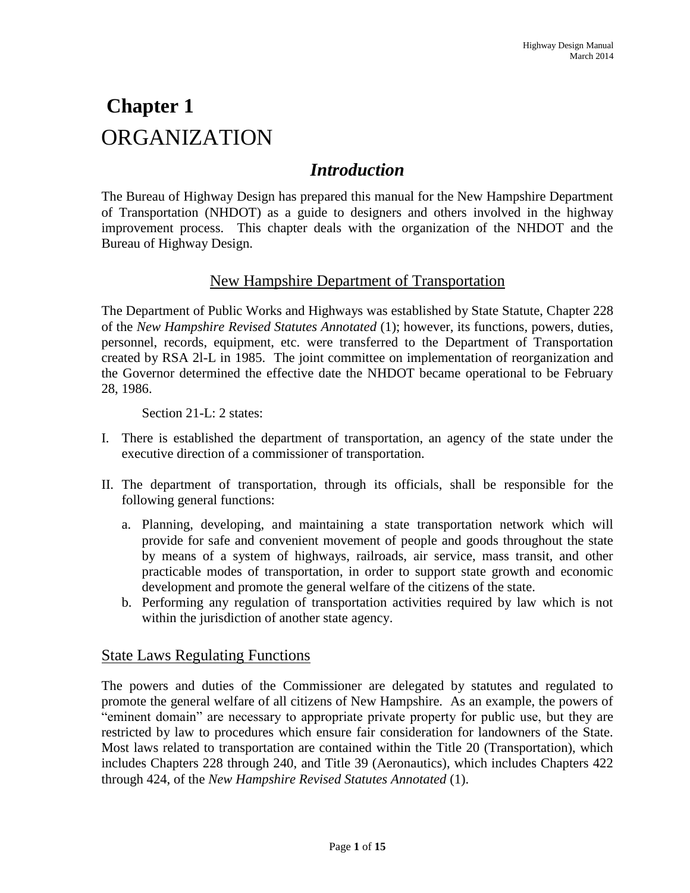# **Chapter 1** ORGANIZATION

# *Introduction*

The Bureau of Highway Design has prepared this manual for the New Hampshire Department of Transportation (NHDOT) as a guide to designers and others involved in the highway improvement process. This chapter deals with the organization of the NHDOT and the Bureau of Highway Design.

### New Hampshire Department of Transportation

The Department of Public Works and Highways was established by State Statute, Chapter 228 of the *New Hampshire Revised Statutes Annotated* (1); however, its functions, powers, duties, personnel, records, equipment, etc. were transferred to the Department of Transportation created by RSA 2l-L in 1985. The joint committee on implementation of reorganization and the Governor determined the effective date the NHDOT became operational to be February 28, 1986.

Section 21-L: 2 states:

- I. There is established the department of transportation, an agency of the state under the executive direction of a commissioner of transportation.
- II. The department of transportation, through its officials, shall be responsible for the following general functions:
	- a. Planning, developing, and maintaining a state transportation network which will provide for safe and convenient movement of people and goods throughout the state by means of a system of highways, railroads, air service, mass transit, and other practicable modes of transportation, in order to support state growth and economic development and promote the general welfare of the citizens of the state.
	- b. Performing any regulation of transportation activities required by law which is not within the jurisdiction of another state agency.

### State Laws Regulating Functions

The powers and duties of the Commissioner are delegated by statutes and regulated to promote the general welfare of all citizens of New Hampshire. As an example, the powers of "eminent domain" are necessary to appropriate private property for public use, but they are restricted by law to procedures which ensure fair consideration for landowners of the State. Most laws related to transportation are contained within the Title 20 (Transportation), which includes Chapters 228 through 240, and Title 39 (Aeronautics), which includes Chapters 422 through 424, of the *New Hampshire Revised Statutes Annotated* (1).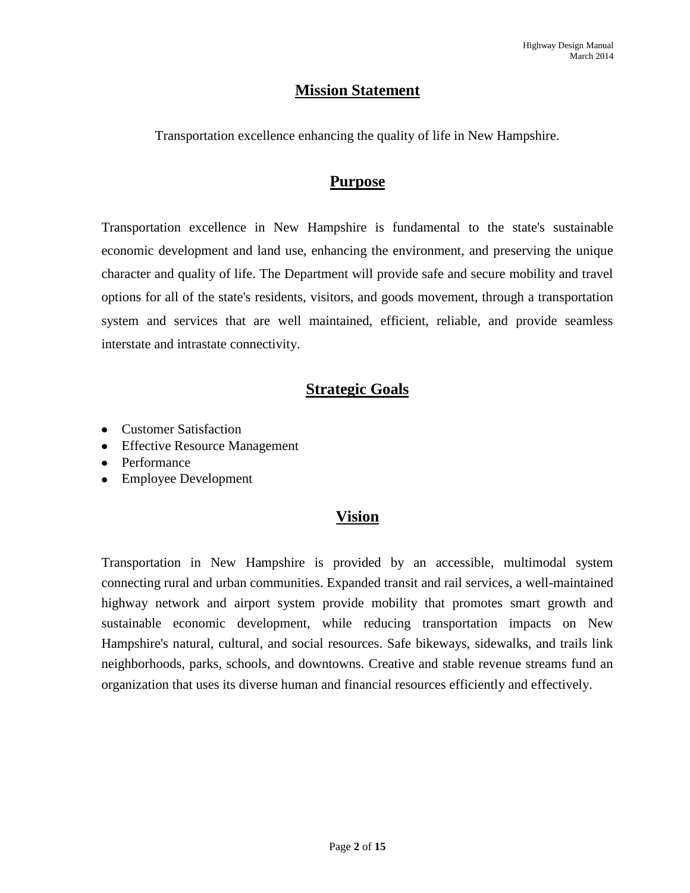### **Mission Statement**

Transportation excellence enhancing the quality of life in New Hampshire.

### **Purpose**

Transportation excellence in New Hampshire is fundamental to the state's sustainable economic development and land use, enhancing the environment, and preserving the unique character and quality of life. The Department will provide safe and secure mobility and travel options for all of the state's residents, visitors, and goods movement, through a transportation system and services that are well maintained, efficient, reliable, and provide seamless interstate and intrastate connectivity.

## **Strategic Goals**

- [Customer Satisfaction](http://www.nh.gov/dot/org/commissioner/balanced-scorecard/goals.htm#customer)
- [Effective Resource Management](http://www.nh.gov/dot/org/commissioner/balanced-scorecard/goals.htm#erm)
- [Performance](http://www.nh.gov/dot/org/commissioner/balanced-scorecard/goals.htm#performance)
- [Employee Development](http://www.nh.gov/dot/org/commissioner/balanced-scorecard/goals.htm#ed)

### **Vision**

Transportation in New Hampshire is provided by an accessible, multimodal system connecting rural and urban communities. Expanded transit and rail services, a well-maintained highway network and airport system provide mobility that promotes smart growth and sustainable economic development, while reducing transportation impacts on New Hampshire's natural, cultural, and social resources. Safe bikeways, sidewalks, and trails link neighborhoods, parks, schools, and downtowns. Creative and stable revenue streams fund an organization that uses its diverse human and financial resources efficiently and effectively.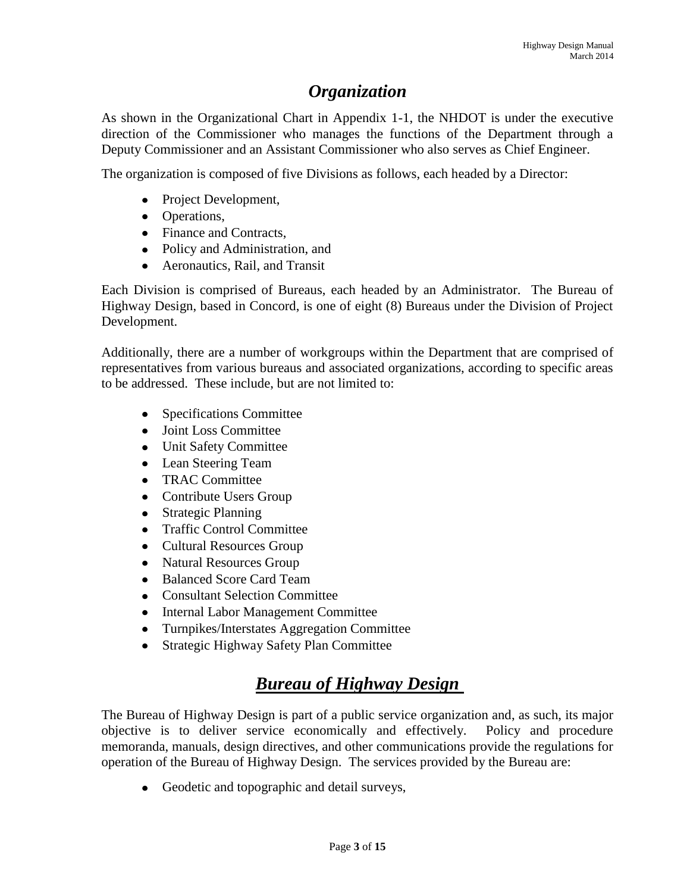# *Organization*

As shown in the Organizational Chart in Appendix 1-1, the NHDOT is under the executive direction of the Commissioner who manages the functions of the Department through a Deputy Commissioner and an Assistant Commissioner who also serves as Chief Engineer.

The organization is composed of five Divisions as follows, each headed by a Director:

- Project Development,
- Operations,
- Finance and Contracts,
- Policy and Administration, and
- Aeronautics, Rail, and Transit

Each Division is comprised of Bureaus, each headed by an Administrator. The Bureau of Highway Design, based in Concord, is one of eight (8) Bureaus under the Division of Project Development.

Additionally, there are a number of workgroups within the Department that are comprised of representatives from various bureaus and associated organizations, according to specific areas to be addressed. These include, but are not limited to:

- Specifications Committee
- Joint Loss Committee
- Unit Safety Committee
- Lean Steering Team
- TRAC Committee  $\bullet$
- Contribute Users Group
- Strategic Planning  $\bullet$
- Traffic Control Committee
- Cultural Resources Group
- Natural Resources Group
- Balanced Score Card Team
- Consultant Selection Committee  $\bullet$
- Internal Labor Management Committee
- $\bullet$ Turnpikes/Interstates Aggregation Committee
- Strategic Highway Safety Plan Committee  $\bullet$

# *Bureau of Highway Design*

The Bureau of Highway Design is part of a public service organization and, as such, its major objective is to deliver service economically and effectively. Policy and procedure memoranda, manuals, design directives, and other communications provide the regulations for operation of the Bureau of Highway Design. The services provided by the Bureau are:

• Geodetic and topographic and detail surveys,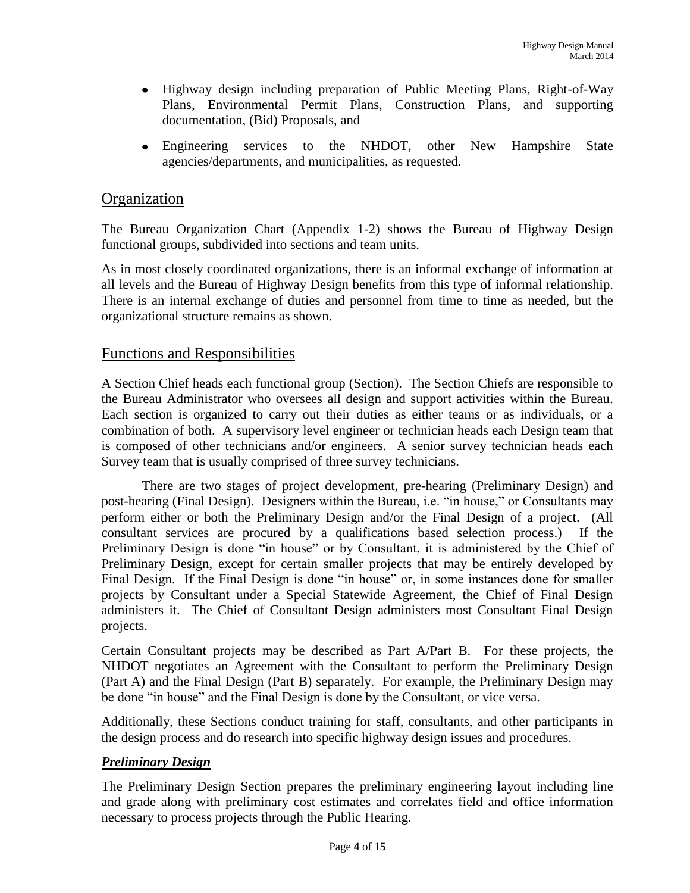- Highway design including preparation of Public Meeting Plans, Right-of-Way Plans, Environmental Permit Plans, Construction Plans, and supporting documentation, (Bid) Proposals, and
- Engineering services to the NHDOT, other New Hampshire State  $\bullet$ agencies/departments, and municipalities, as requested.

### **Organization**

The Bureau Organization Chart (Appendix 1-2) shows the Bureau of Highway Design functional groups, subdivided into sections and team units.

As in most closely coordinated organizations, there is an informal exchange of information at all levels and the Bureau of Highway Design benefits from this type of informal relationship. There is an internal exchange of duties and personnel from time to time as needed, but the organizational structure remains as shown.

### Functions and Responsibilities

A Section Chief heads each functional group (Section). The Section Chiefs are responsible to the Bureau Administrator who oversees all design and support activities within the Bureau. Each section is organized to carry out their duties as either teams or as individuals, or a combination of both. A supervisory level engineer or technician heads each Design team that is composed of other technicians and/or engineers. A senior survey technician heads each Survey team that is usually comprised of three survey technicians.

There are two stages of project development, pre-hearing (Preliminary Design) and post-hearing (Final Design). Designers within the Bureau, i.e. "in house," or Consultants may perform either or both the Preliminary Design and/or the Final Design of a project. (All consultant services are procured by a qualifications based selection process.) If the Preliminary Design is done "in house" or by Consultant, it is administered by the Chief of Preliminary Design, except for certain smaller projects that may be entirely developed by Final Design. If the Final Design is done "in house" or, in some instances done for smaller projects by Consultant under a Special Statewide Agreement, the Chief of Final Design administers it. The Chief of Consultant Design administers most Consultant Final Design projects.

Certain Consultant projects may be described as Part A/Part B. For these projects, the NHDOT negotiates an Agreement with the Consultant to perform the Preliminary Design (Part A) and the Final Design (Part B) separately. For example, the Preliminary Design may be done "in house" and the Final Design is done by the Consultant, or vice versa.

Additionally, these Sections conduct training for staff, consultants, and other participants in the design process and do research into specific highway design issues and procedures.

### *Preliminary Design*

The Preliminary Design Section prepares the preliminary engineering layout including line and grade along with preliminary cost estimates and correlates field and office information necessary to process projects through the Public Hearing.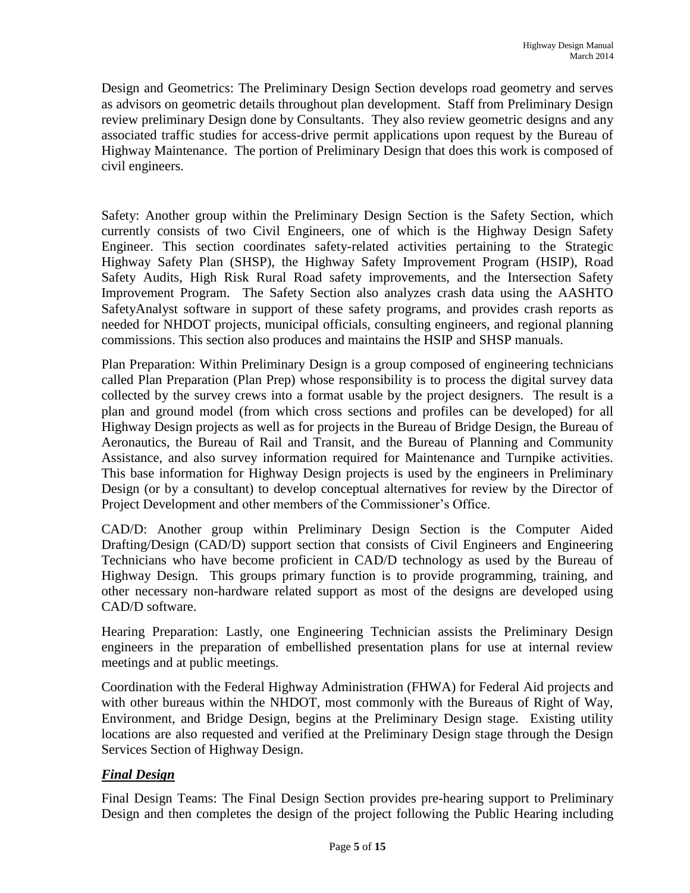Design and Geometrics: The Preliminary Design Section develops road geometry and serves as advisors on geometric details throughout plan development. Staff from Preliminary Design review preliminary Design done by Consultants. They also review geometric designs and any associated traffic studies for access-drive permit applications upon request by the Bureau of Highway Maintenance. The portion of Preliminary Design that does this work is composed of civil engineers.

Safety: Another group within the Preliminary Design Section is the Safety Section, which currently consists of two Civil Engineers, one of which is the Highway Design Safety Engineer. This section coordinates safety-related activities pertaining to the Strategic Highway Safety Plan (SHSP), the Highway Safety Improvement Program (HSIP), Road Safety Audits, High Risk Rural Road safety improvements, and the Intersection Safety Improvement Program. The Safety Section also analyzes crash data using the AASHTO SafetyAnalyst software in support of these safety programs, and provides crash reports as needed for NHDOT projects, municipal officials, consulting engineers, and regional planning commissions. This section also produces and maintains the HSIP and SHSP manuals.

Plan Preparation: Within Preliminary Design is a group composed of engineering technicians called Plan Preparation (Plan Prep) whose responsibility is to process the digital survey data collected by the survey crews into a format usable by the project designers. The result is a plan and ground model (from which cross sections and profiles can be developed) for all Highway Design projects as well as for projects in the Bureau of Bridge Design, the Bureau of Aeronautics, the Bureau of Rail and Transit, and the Bureau of Planning and Community Assistance, and also survey information required for Maintenance and Turnpike activities. This base information for Highway Design projects is used by the engineers in Preliminary Design (or by a consultant) to develop conceptual alternatives for review by the Director of Project Development and other members of the Commissioner's Office.

CAD/D: Another group within Preliminary Design Section is the Computer Aided Drafting/Design (CAD/D) support section that consists of Civil Engineers and Engineering Technicians who have become proficient in CAD/D technology as used by the Bureau of Highway Design. This groups primary function is to provide programming, training, and other necessary non-hardware related support as most of the designs are developed using CAD/D software.

Hearing Preparation: Lastly, one Engineering Technician assists the Preliminary Design engineers in the preparation of embellished presentation plans for use at internal review meetings and at public meetings.

Coordination with the Federal Highway Administration (FHWA) for Federal Aid projects and with other bureaus within the NHDOT, most commonly with the Bureaus of Right of Way, Environment, and Bridge Design, begins at the Preliminary Design stage. Existing utility locations are also requested and verified at the Preliminary Design stage through the Design Services Section of Highway Design.

### *Final Design*

Final Design Teams: The Final Design Section provides pre-hearing support to Preliminary Design and then completes the design of the project following the Public Hearing including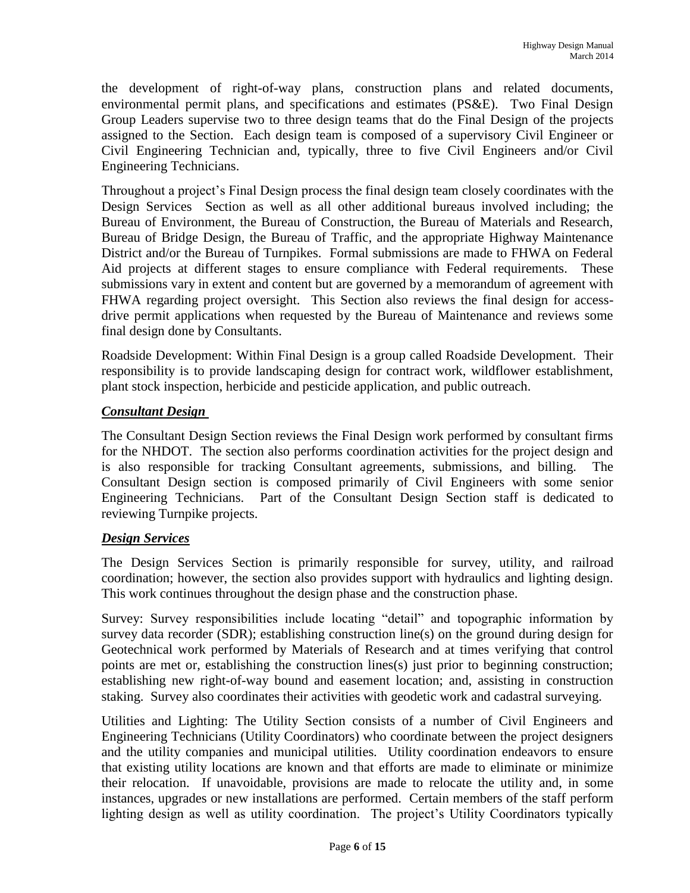the development of right-of-way plans, construction plans and related documents, environmental permit plans, and specifications and estimates (PS&E). Two Final Design Group Leaders supervise two to three design teams that do the Final Design of the projects assigned to the Section. Each design team is composed of a supervisory Civil Engineer or Civil Engineering Technician and, typically, three to five Civil Engineers and/or Civil Engineering Technicians.

Throughout a project's Final Design process the final design team closely coordinates with the Design Services Section as well as all other additional bureaus involved including; the Bureau of Environment, the Bureau of Construction, the Bureau of Materials and Research, Bureau of Bridge Design, the Bureau of Traffic, and the appropriate Highway Maintenance District and/or the Bureau of Turnpikes. Formal submissions are made to FHWA on Federal Aid projects at different stages to ensure compliance with Federal requirements. These submissions vary in extent and content but are governed by a memorandum of agreement with FHWA regarding project oversight. This Section also reviews the final design for accessdrive permit applications when requested by the Bureau of Maintenance and reviews some final design done by Consultants.

Roadside Development: Within Final Design is a group called Roadside Development. Their responsibility is to provide landscaping design for contract work, wildflower establishment, plant stock inspection, herbicide and pesticide application, and public outreach.

### *Consultant Design*

The Consultant Design Section reviews the Final Design work performed by consultant firms for the NHDOT. The section also performs coordination activities for the project design and is also responsible for tracking Consultant agreements, submissions, and billing. The Consultant Design section is composed primarily of Civil Engineers with some senior Engineering Technicians. Part of the Consultant Design Section staff is dedicated to reviewing Turnpike projects.

### *Design Services*

The Design Services Section is primarily responsible for survey, utility, and railroad coordination; however, the section also provides support with hydraulics and lighting design. This work continues throughout the design phase and the construction phase.

Survey: Survey responsibilities include locating "detail" and topographic information by survey data recorder (SDR); establishing construction line(s) on the ground during design for Geotechnical work performed by Materials of Research and at times verifying that control points are met or, establishing the construction lines(s) just prior to beginning construction; establishing new right-of-way bound and easement location; and, assisting in construction staking. Survey also coordinates their activities with geodetic work and cadastral surveying.

Utilities and Lighting: The Utility Section consists of a number of Civil Engineers and Engineering Technicians (Utility Coordinators) who coordinate between the project designers and the utility companies and municipal utilities. Utility coordination endeavors to ensure that existing utility locations are known and that efforts are made to eliminate or minimize their relocation. If unavoidable, provisions are made to relocate the utility and, in some instances, upgrades or new installations are performed. Certain members of the staff perform lighting design as well as utility coordination. The project's Utility Coordinators typically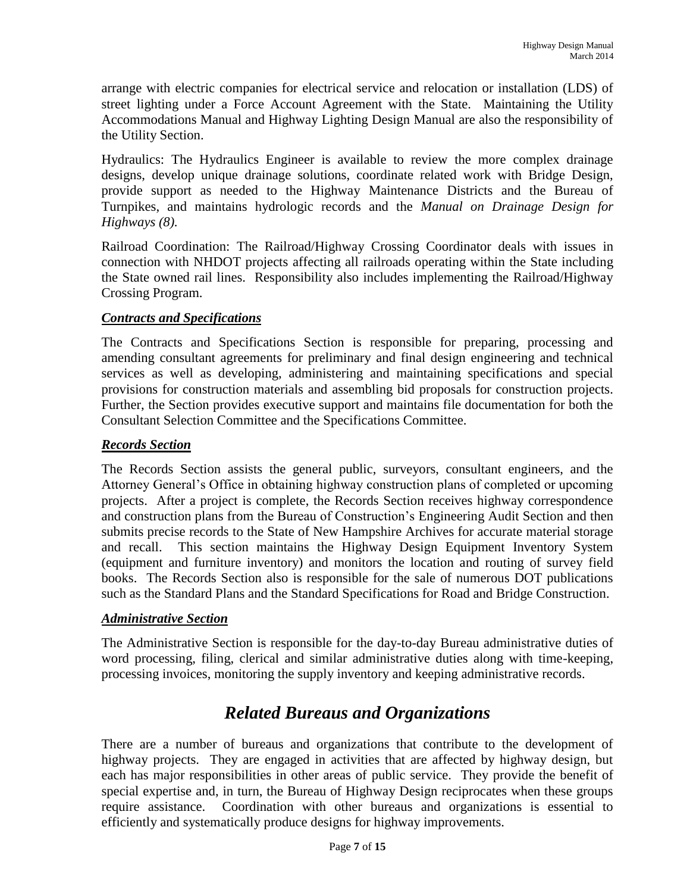arrange with electric companies for electrical service and relocation or installation (LDS) of street lighting under a Force Account Agreement with the State. Maintaining the Utility Accommodations Manual and Highway Lighting Design Manual are also the responsibility of the Utility Section.

Hydraulics: The Hydraulics Engineer is available to review the more complex drainage designs, develop unique drainage solutions, coordinate related work with Bridge Design, provide support as needed to the Highway Maintenance Districts and the Bureau of Turnpikes, and maintains hydrologic records and the *Manual on Drainage Design for Highways (8).*

Railroad Coordination: The Railroad/Highway Crossing Coordinator deals with issues in connection with NHDOT projects affecting all railroads operating within the State including the State owned rail lines. Responsibility also includes implementing the Railroad/Highway Crossing Program.

### *Contracts and Specifications*

The Contracts and Specifications Section is responsible for preparing, processing and amending consultant agreements for preliminary and final design engineering and technical services as well as developing, administering and maintaining specifications and special provisions for construction materials and assembling bid proposals for construction projects. Further, the Section provides executive support and maintains file documentation for both the Consultant Selection Committee and the Specifications Committee.

### *Records Section*

The Records Section assists the general public, surveyors, consultant engineers, and the Attorney General's Office in obtaining highway construction plans of completed or upcoming projects. After a project is complete, the Records Section receives highway correspondence and construction plans from the Bureau of Construction's Engineering Audit Section and then submits precise records to the State of New Hampshire Archives for accurate material storage and recall. This section maintains the Highway Design Equipment Inventory System (equipment and furniture inventory) and monitors the location and routing of survey field books. The Records Section also is responsible for the sale of numerous DOT publications such as the Standard Plans and the Standard Specifications for Road and Bridge Construction.

### *Administrative Section*

The Administrative Section is responsible for the day-to-day Bureau administrative duties of word processing, filing, clerical and similar administrative duties along with time-keeping, processing invoices, monitoring the supply inventory and keeping administrative records.

# *Related Bureaus and Organizations*

There are a number of bureaus and organizations that contribute to the development of highway projects. They are engaged in activities that are affected by highway design, but each has major responsibilities in other areas of public service. They provide the benefit of special expertise and, in turn, the Bureau of Highway Design reciprocates when these groups require assistance. Coordination with other bureaus and organizations is essential to efficiently and systematically produce designs for highway improvements.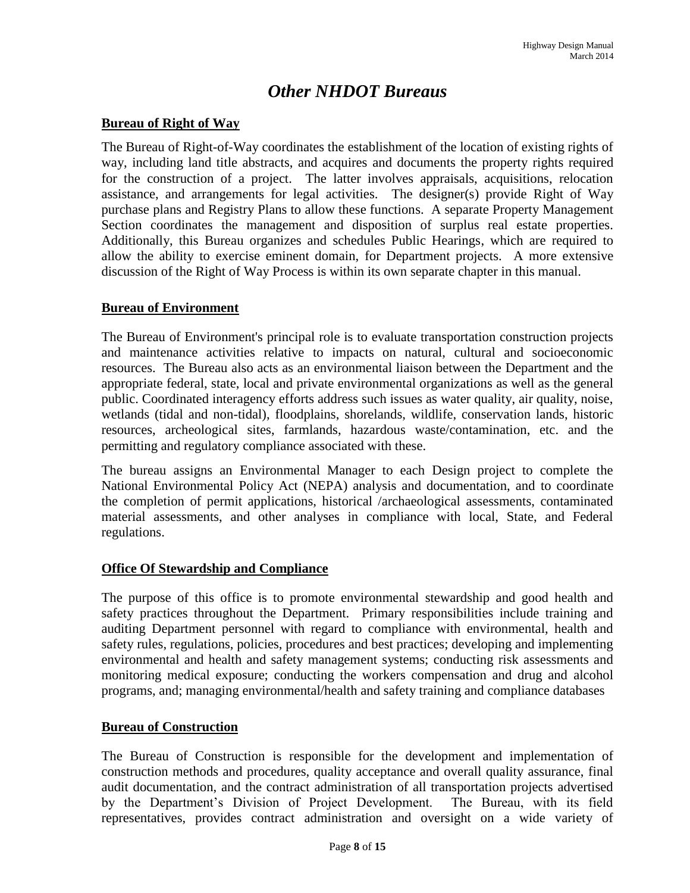# *Other NHDOT Bureaus*

### **Bureau of Right of Way**

The Bureau of Right-of-Way coordinates the establishment of the location of existing rights of way, including land title abstracts, and acquires and documents the property rights required for the construction of a project. The latter involves appraisals, acquisitions, relocation assistance, and arrangements for legal activities. The designer(s) provide Right of Way purchase plans and Registry Plans to allow these functions. A separate Property Management Section coordinates the management and disposition of surplus real estate properties. Additionally, this Bureau organizes and schedules Public Hearings, which are required to allow the ability to exercise eminent domain, for Department projects. A more extensive discussion of the Right of Way Process is within its own separate chapter in this manual.

### **Bureau of Environment**

The Bureau of Environment's principal role is to evaluate transportation construction projects and maintenance activities relative to impacts on natural, cultural and socioeconomic resources. The Bureau also acts as an environmental liaison between the Department and the appropriate federal, state, local and private environmental organizations as well as the general public. Coordinated interagency efforts address such issues as water quality, air quality, noise, wetlands (tidal and non-tidal), floodplains, shorelands, wildlife, conservation lands, historic resources, archeological sites, farmlands, hazardous waste/contamination, etc. and the permitting and regulatory compliance associated with these.

The bureau assigns an Environmental Manager to each Design project to complete the National Environmental Policy Act (NEPA) analysis and documentation, and to coordinate the completion of permit applications, historical /archaeological assessments, contaminated material assessments, and other analyses in compliance with local, State, and Federal regulations.

### **Office Of Stewardship and Compliance**

The purpose of this office is to promote environmental stewardship and good health and safety practices throughout the Department. Primary responsibilities include training and auditing Department personnel with regard to compliance with environmental, health and safety rules, regulations, policies, procedures and best practices; developing and implementing environmental and health and safety management systems; conducting risk assessments and monitoring medical exposure; conducting the workers compensation and drug and alcohol programs, and; managing environmental/health and safety training and compliance databases.

#### **Bureau of Construction**

The Bureau of Construction is responsible for the development and implementation of construction methods and procedures, quality acceptance and overall quality assurance, final audit documentation, and the contract administration of all transportation projects advertised by the Department's Division of Project Development. The Bureau, with its field representatives, provides contract administration and oversight on a wide variety of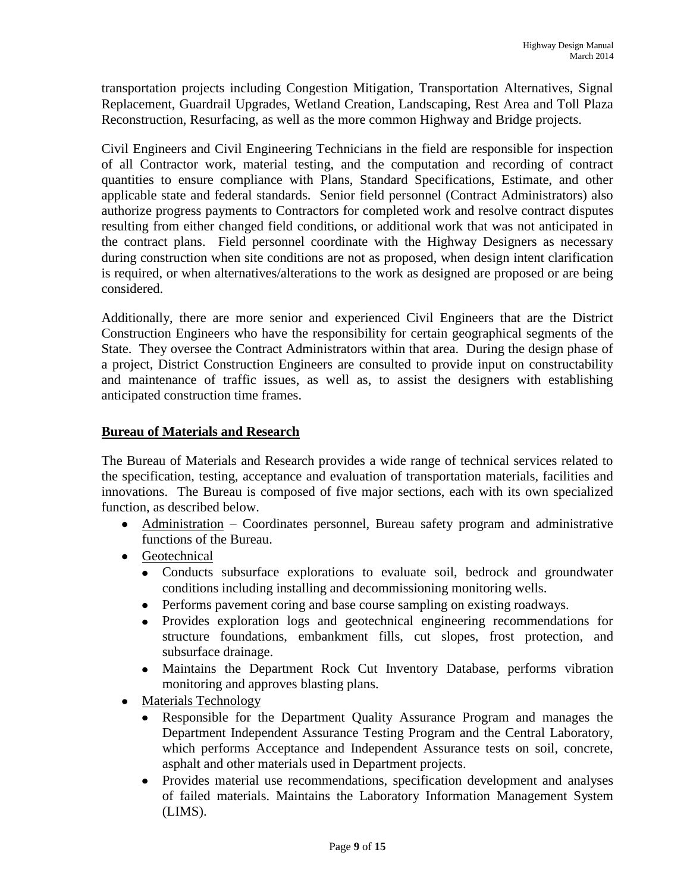transportation projects including Congestion Mitigation, Transportation Alternatives, Signal Replacement, Guardrail Upgrades, Wetland Creation, Landscaping, Rest Area and Toll Plaza Reconstruction, Resurfacing, as well as the more common Highway and Bridge projects.

Civil Engineers and Civil Engineering Technicians in the field are responsible for inspection of all Contractor work, material testing, and the computation and recording of contract quantities to ensure compliance with Plans, Standard Specifications, Estimate, and other applicable state and federal standards. Senior field personnel (Contract Administrators) also authorize progress payments to Contractors for completed work and resolve contract disputes resulting from either changed field conditions, or additional work that was not anticipated in the contract plans. Field personnel coordinate with the Highway Designers as necessary during construction when site conditions are not as proposed, when design intent clarification is required, or when alternatives/alterations to the work as designed are proposed or are being considered.

Additionally, there are more senior and experienced Civil Engineers that are the District Construction Engineers who have the responsibility for certain geographical segments of the State. They oversee the Contract Administrators within that area. During the design phase of a project, District Construction Engineers are consulted to provide input on constructability and maintenance of traffic issues, as well as, to assist the designers with establishing anticipated construction time frames.

### **Bureau of Materials and Research**

The Bureau of Materials and Research provides a wide range of technical services related to the specification, testing, acceptance and evaluation of transportation materials, facilities and innovations. The Bureau is composed of five major sections, each with its own specialized function, as described below.

- Administration Coordinates personnel, Bureau safety program and administrative functions of the Bureau.
- Geotechnical
	- Conducts subsurface explorations to evaluate soil, bedrock and groundwater  $\bullet$ conditions including installing and decommissioning monitoring wells.
	- Performs pavement coring and base course sampling on existing roadways.  $\bullet$
	- $\bullet$ Provides exploration logs and geotechnical engineering recommendations for structure foundations, embankment fills, cut slopes, frost protection, and subsurface drainage.
	- $\bullet$ Maintains the Department Rock Cut Inventory Database, performs vibration monitoring and approves blasting plans.
- Materials Technology
	- $\bullet$ Responsible for the Department Quality Assurance Program and manages the Department Independent Assurance Testing Program and the Central Laboratory, which performs Acceptance and Independent Assurance tests on soil, concrete, asphalt and other materials used in Department projects.
	- $\bullet$ Provides material use recommendations, specification development and analyses of failed materials. Maintains the Laboratory Information Management System (LIMS).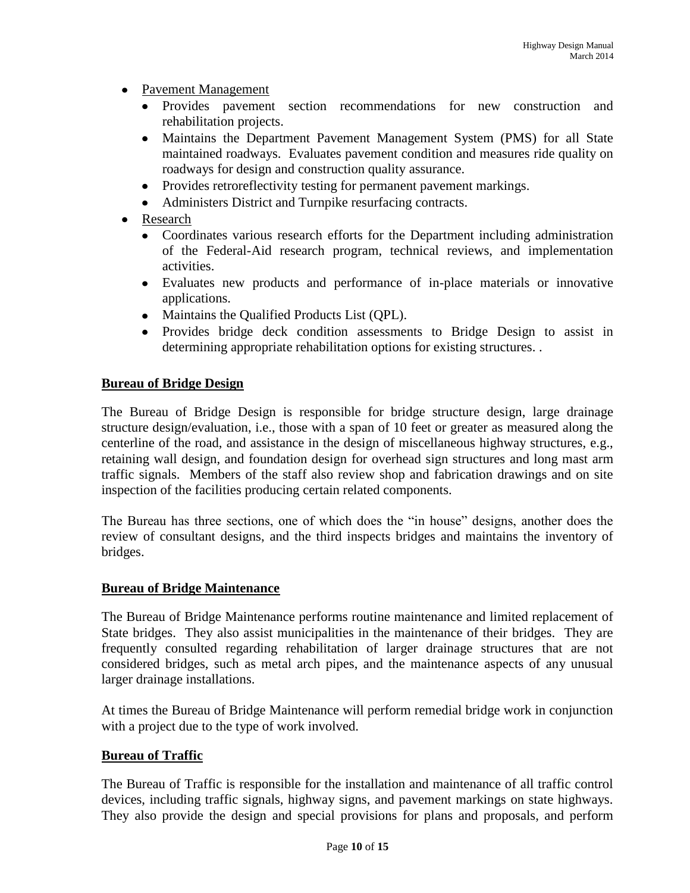- Pavement Management
	- Provides pavement section recommendations for new construction and rehabilitation projects.
	- $\bullet$ Maintains the Department Pavement Management System (PMS) for all State maintained roadways. Evaluates pavement condition and measures ride quality on roadways for design and construction quality assurance.
	- Provides retroreflectivity testing for permanent pavement markings.
	- Administers District and Turnpike resurfacing contracts.  $\bullet$
- Research
	- $\bullet$ Coordinates various research efforts for the Department including administration of the Federal-Aid research program, technical reviews, and implementation activities.
	- $\bullet$ Evaluates new products and performance of in-place materials or innovative applications.
	- Maintains the Qualified Products List (QPL).
	- Provides bridge deck condition assessments to Bridge Design to assist in determining appropriate rehabilitation options for existing structures. .

### **Bureau of Bridge Design**

The Bureau of Bridge Design is responsible for bridge structure design, large drainage structure design/evaluation, i.e., those with a span of 10 feet or greater as measured along the centerline of the road, and assistance in the design of miscellaneous highway structures, e.g., retaining wall design, and foundation design for overhead sign structures and long mast arm traffic signals. Members of the staff also review shop and fabrication drawings and on site inspection of the facilities producing certain related components.

The Bureau has three sections, one of which does the "in house" designs, another does the review of consultant designs, and the third inspects bridges and maintains the inventory of bridges.

### **Bureau of Bridge Maintenance**

The Bureau of Bridge Maintenance performs routine maintenance and limited replacement of State bridges. They also assist municipalities in the maintenance of their bridges. They are frequently consulted regarding rehabilitation of larger drainage structures that are not considered bridges, such as metal arch pipes, and the maintenance aspects of any unusual larger drainage installations.

At times the Bureau of Bridge Maintenance will perform remedial bridge work in conjunction with a project due to the type of work involved.

### **Bureau of Traffic**

The Bureau of Traffic is responsible for the installation and maintenance of all traffic control devices, including traffic signals, highway signs, and pavement markings on state highways. They also provide the design and special provisions for plans and proposals, and perform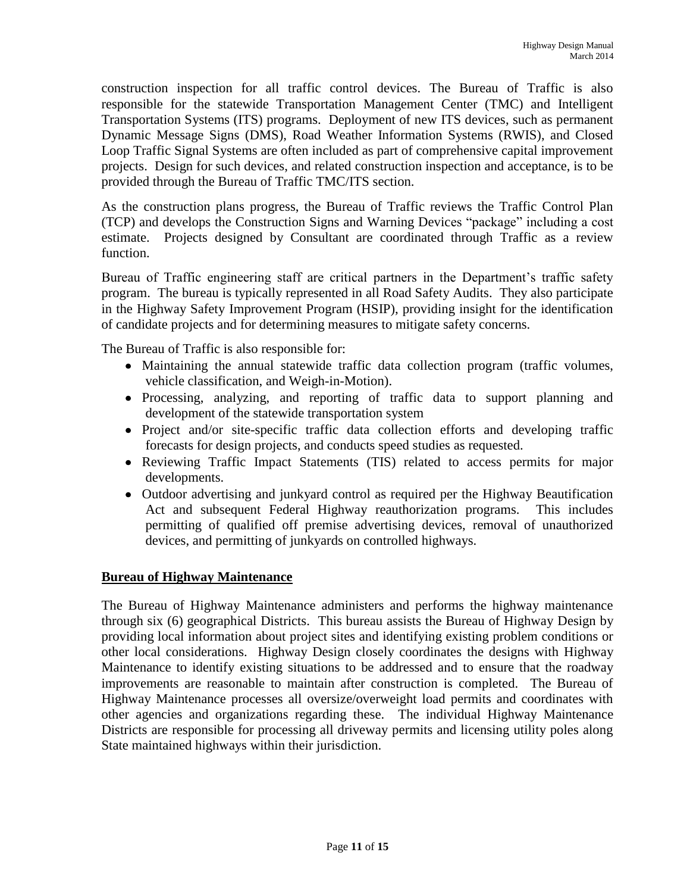construction inspection for all traffic control devices. The Bureau of Traffic is also responsible for the statewide Transportation Management Center (TMC) and Intelligent Transportation Systems (ITS) programs. Deployment of new ITS devices, such as permanent Dynamic Message Signs (DMS), Road Weather Information Systems (RWIS), and Closed Loop Traffic Signal Systems are often included as part of comprehensive capital improvement projects. Design for such devices, and related construction inspection and acceptance, is to be provided through the Bureau of Traffic TMC/ITS section.

As the construction plans progress, the Bureau of Traffic reviews the Traffic Control Plan (TCP) and develops the Construction Signs and Warning Devices "package" including a cost estimate. Projects designed by Consultant are coordinated through Traffic as a review function.

Bureau of Traffic engineering staff are critical partners in the Department's traffic safety program. The bureau is typically represented in all Road Safety Audits. They also participate in the Highway Safety Improvement Program (HSIP), providing insight for the identification of candidate projects and for determining measures to mitigate safety concerns.

The Bureau of Traffic is also responsible for:

- Maintaining the annual statewide traffic data collection program (traffic volumes, vehicle classification, and Weigh-in-Motion).
- Processing, analyzing, and reporting of traffic data to support planning and development of the statewide transportation system
- Project and/or site-specific traffic data collection efforts and developing traffic forecasts for design projects, and conducts speed studies as requested.
- Reviewing Traffic Impact Statements (TIS) related to access permits for major developments.
- Outdoor advertising and junkyard control as required per the Highway Beautification Act and subsequent Federal Highway reauthorization programs. This includes permitting of qualified off premise advertising devices, removal of unauthorized devices, and permitting of junkyards on controlled highways.

### **Bureau of Highway Maintenance**

The Bureau of Highway Maintenance administers and performs the highway maintenance through six (6) geographical Districts. This bureau assists the Bureau of Highway Design by providing local information about project sites and identifying existing problem conditions or other local considerations. Highway Design closely coordinates the designs with Highway Maintenance to identify existing situations to be addressed and to ensure that the roadway improvements are reasonable to maintain after construction is completed. The Bureau of Highway Maintenance processes all oversize/overweight load permits and coordinates with other agencies and organizations regarding these. The individual Highway Maintenance Districts are responsible for processing all driveway permits and licensing utility poles along State maintained highways within their jurisdiction.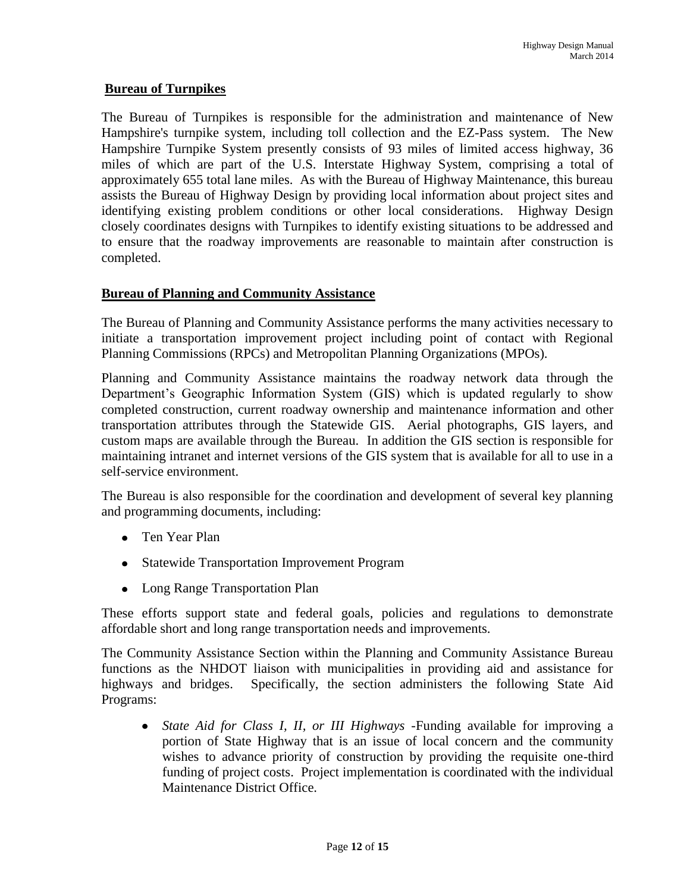### **Bureau of Turnpikes**

The Bureau of Turnpikes is responsible for the administration and maintenance of New Hampshire's turnpike system, including toll collection and the EZ-Pass system. The New Hampshire Turnpike System presently consists of 93 miles of limited access highway, 36 miles of which are part of the U.S. Interstate Highway System, comprising a total of approximately 655 total lane miles. As with the Bureau of Highway Maintenance, this bureau assists the Bureau of Highway Design by providing local information about project sites and identifying existing problem conditions or other local considerations. Highway Design closely coordinates designs with Turnpikes to identify existing situations to be addressed and to ensure that the roadway improvements are reasonable to maintain after construction is completed.

### **Bureau of Planning and Community Assistance**

The Bureau of Planning and Community Assistance performs the many activities necessary to initiate a transportation improvement project including point of contact with Regional Planning Commissions (RPCs) and Metropolitan Planning Organizations (MPOs).

Planning and Community Assistance maintains the roadway network data through the Department's Geographic Information System (GIS) which is updated regularly to show completed construction, current roadway ownership and maintenance information and other transportation attributes through the Statewide GIS. Aerial photographs, GIS layers, and custom maps are available through the Bureau. In addition the GIS section is responsible for maintaining intranet and internet versions of the GIS system that is available for all to use in a self-service environment.

The Bureau is also responsible for the coordination and development of several key planning and programming documents, including:

- Ten Year Plan
- Statewide Transportation Improvement Program
- Long Range Transportation Plan

These efforts support state and federal goals, policies and regulations to demonstrate affordable short and long range transportation needs and improvements.

The Community Assistance Section within the Planning and Community Assistance Bureau functions as the NHDOT liaison with municipalities in providing aid and assistance for highways and bridges. Specifically, the section administers the following State Aid Programs:

*State Aid for Class I, II, or III Highways* -Funding available for improving a  $\bullet$ portion of State Highway that is an issue of local concern and the community wishes to advance priority of construction by providing the requisite one-third funding of project costs. Project implementation is coordinated with the individual Maintenance District Office.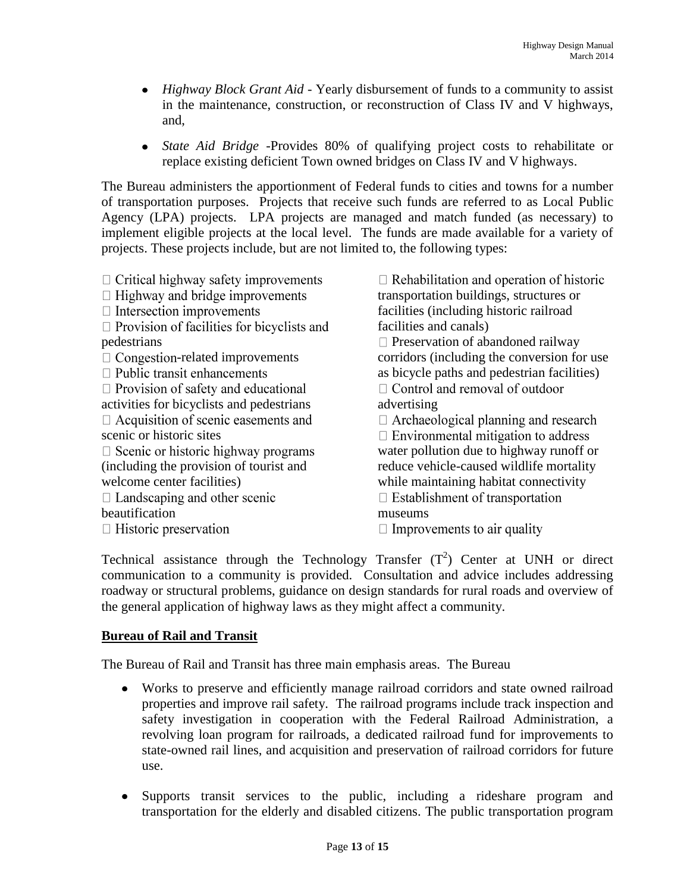- *Highway Block Grant Aid* Yearly disbursement of funds to a community to assist in the maintenance, construction, or reconstruction of Class IV and V highways, and,
- *State Aid Bridge* -Provides 80% of qualifying project costs to rehabilitate or  $\bullet$ replace existing deficient Town owned bridges on Class IV and V highways.

The Bureau administers the apportionment of Federal funds to cities and towns for a number of transportation purposes. Projects that receive such funds are referred to as Local Public Agency (LPA) projects. LPA projects are managed and match funded (as necessary) to implement eligible projects at the local level. The funds are made available for a variety of projects. These projects include, but are not limited to, the following types:

| $\Box$ Highway and bridge improvements<br>transportation buildings, structures or<br>$\Box$ Intersection improvements<br>$\Box$ Provision of facilities for bicyclists and<br>facilities and canals)<br>pedestrians<br>$\Box$ Congestion-related improvements<br>$\Box$ Public transit enhancements<br>$\Box$ Provision of safety and educational<br>activities for bicyclists and pedestrians<br>advertising<br>$\Box$ Acquisition of scenic easements and<br>scenic or historic sites<br>$\Box$ Scenic or historic highway programs<br>(including the provision of tourist and<br>welcome center facilities)<br>$\Box$ Landscaping and other scenic<br>beautification<br>museums<br>$\Box$ Historic preservation<br>$\Box$ Improvements to air quality | facilities (including historic railroad<br>$\Box$ Preservation of abandoned railway<br>corridors (including the conversion for use<br>as bicycle paths and pedestrian facilities)<br>$\Box$ Control and removal of outdoor<br>$\Box$ Archaeological planning and research<br>$\Box$ Environmental mitigation to address<br>water pollution due to highway runoff or<br>reduce vehicle-caused wildlife mortality<br>while maintaining habitat connectivity<br>$\Box$ Establishment of transportation |
|----------------------------------------------------------------------------------------------------------------------------------------------------------------------------------------------------------------------------------------------------------------------------------------------------------------------------------------------------------------------------------------------------------------------------------------------------------------------------------------------------------------------------------------------------------------------------------------------------------------------------------------------------------------------------------------------------------------------------------------------------------|-----------------------------------------------------------------------------------------------------------------------------------------------------------------------------------------------------------------------------------------------------------------------------------------------------------------------------------------------------------------------------------------------------------------------------------------------------------------------------------------------------|
|----------------------------------------------------------------------------------------------------------------------------------------------------------------------------------------------------------------------------------------------------------------------------------------------------------------------------------------------------------------------------------------------------------------------------------------------------------------------------------------------------------------------------------------------------------------------------------------------------------------------------------------------------------------------------------------------------------------------------------------------------------|-----------------------------------------------------------------------------------------------------------------------------------------------------------------------------------------------------------------------------------------------------------------------------------------------------------------------------------------------------------------------------------------------------------------------------------------------------------------------------------------------------|

Technical assistance through the Technology Transfer  $(T^2)$  Center at UNH or direct communication to a community is provided. Consultation and advice includes addressing roadway or structural problems, guidance on design standards for rural roads and overview of the general application of highway laws as they might affect a community.

### **Bureau of Rail and Transit**

The Bureau of Rail and Transit has three main emphasis areas. The Bureau

- $\bullet$ Works to preserve and efficiently manage railroad corridors and state owned railroad properties and improve rail safety. The railroad programs include track inspection and safety investigation in cooperation with the Federal Railroad Administration, a revolving loan program for railroads, a dedicated railroad fund for improvements to state-owned rail lines, and acquisition and preservation of railroad corridors for future use.
- Supports transit services to the public, including a rideshare program and transportation for the elderly and disabled citizens. The public transportation program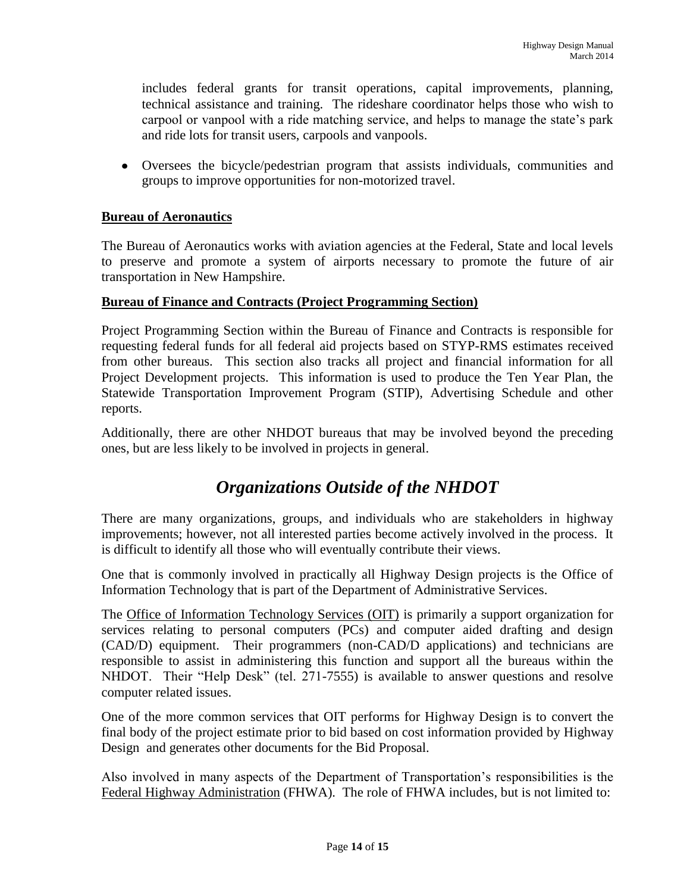includes federal grants for transit operations, capital improvements, planning, technical assistance and training. The rideshare coordinator helps those who wish to carpool or vanpool with a ride matching service, and helps to manage the state's park and ride lots for transit users, carpools and vanpools.

Oversees the bicycle/pedestrian program that assists individuals, communities and groups to improve opportunities for non-motorized travel.

### **Bureau of Aeronautics**

The Bureau of Aeronautics works with aviation agencies at the Federal, State and local levels to preserve and promote a system of airports necessary to promote the future of air transportation in New Hampshire.

### **Bureau of Finance and Contracts (Project Programming Section)**

Project Programming Section within the Bureau of Finance and Contracts is responsible for requesting federal funds for all federal aid projects based on STYP-RMS estimates received from other bureaus. This section also tracks all project and financial information for all Project Development projects. This information is used to produce the Ten Year Plan, the Statewide Transportation Improvement Program (STIP), Advertising Schedule and other reports.

Additionally, there are other NHDOT bureaus that may be involved beyond the preceding ones, but are less likely to be involved in projects in general.

# *Organizations Outside of the NHDOT*

There are many organizations, groups, and individuals who are stakeholders in highway improvements; however, not all interested parties become actively involved in the process. It is difficult to identify all those who will eventually contribute their views.

One that is commonly involved in practically all Highway Design projects is the Office of Information Technology that is part of the Department of Administrative Services.

The Office of Information Technology Services (OIT) is primarily a support organization for services relating to personal computers (PCs) and computer aided drafting and design (CAD/D) equipment. Their programmers (non-CAD/D applications) and technicians are responsible to assist in administering this function and support all the bureaus within the NHDOT. Their "Help Desk" (tel. 271-7555) is available to answer questions and resolve computer related issues.

One of the more common services that OIT performs for Highway Design is to convert the final body of the project estimate prior to bid based on cost information provided by Highway Design and generates other documents for the Bid Proposal.

Also involved in many aspects of the Department of Transportation's responsibilities is the Federal Highway Administration (FHWA). The role of FHWA includes, but is not limited to: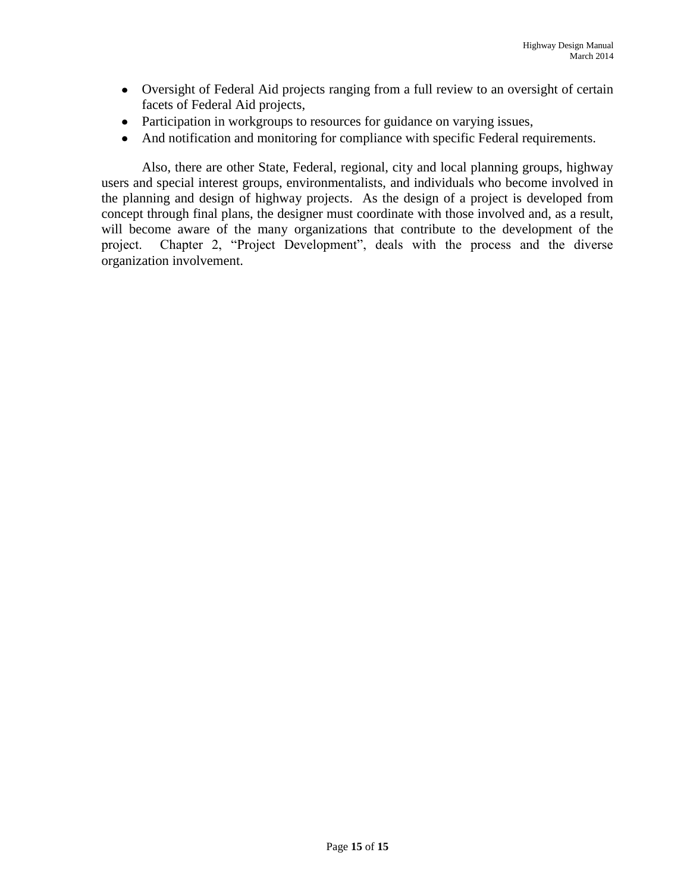- Oversight of Federal Aid projects ranging from a full review to an oversight of certain facets of Federal Aid projects,
- Participation in workgroups to resources for guidance on varying issues,
- And notification and monitoring for compliance with specific Federal requirements.

Also, there are other State, Federal, regional, city and local planning groups, highway users and special interest groups, environmentalists, and individuals who become involved in the planning and design of highway projects. As the design of a project is developed from concept through final plans, the designer must coordinate with those involved and, as a result, will become aware of the many organizations that contribute to the development of the project. Chapter 2, "Project Development", deals with the process and the diverse organization involvement.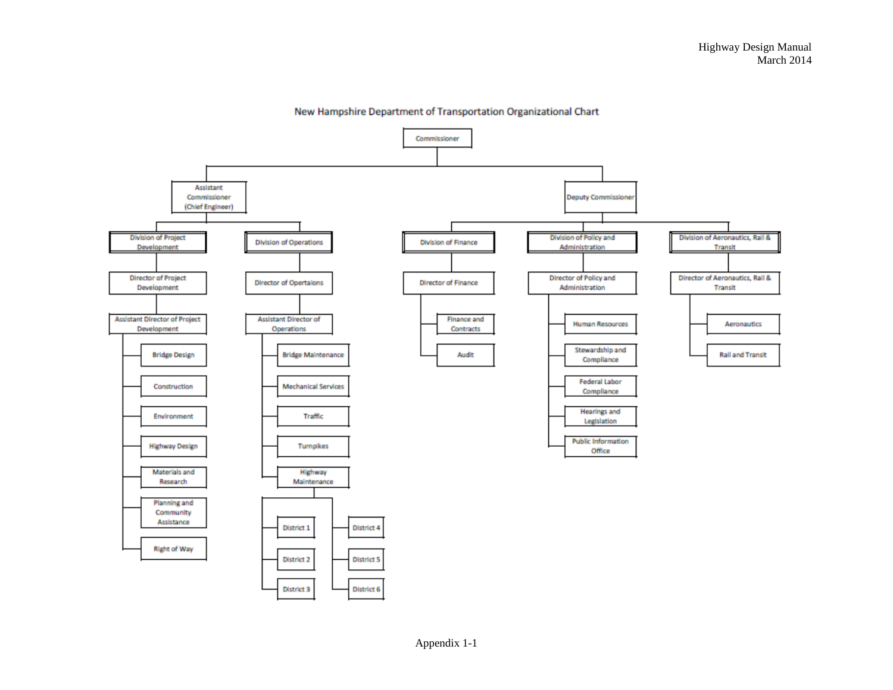

New Hampshire Department of Transportation Organizational Chart